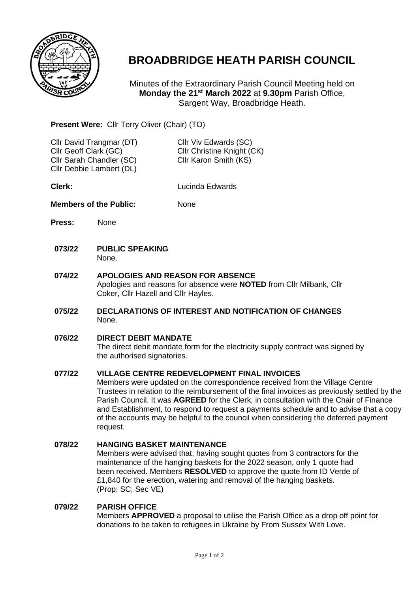

# **BROADBRIDGE HEATH PARISH COUNCIL**

Minutes of the Extraordinary Parish Council Meeting held on **Monday the 21st March 2022** at **9.30pm** Parish Office, Sargent Way, Broadbridge Heath.

## **Present Were:** Cllr Terry Oliver (Chair) (TO)

| Cllr David Trangmar (DT) | Cllr Viv Edwards (SC)      |
|--------------------------|----------------------------|
| Cllr Geoff Clark (GC)    | Cllr Christine Knight (CK) |
| Cllr Sarah Chandler (SC) | Cllr Karon Smith (KS)      |
| Cllr Debbie Lambert (DL) |                            |
|                          |                            |

**Clerk:** Lucinda Edwards

### **Members of the Public:** None

- **Press:** None
- **073/22 PUBLIC SPEAKING** None.
- **074/22 APOLOGIES AND REASON FOR ABSENCE** Apologies and reasons for absence were **NOTED** from Cllr Milbank, Cllr Coker, Cllr Hazell and Cllr Hayles.
- **075/22 DECLARATIONS OF INTEREST AND NOTIFICATION OF CHANGES** None.
- **076/22 DIRECT DEBIT MANDATE**

The direct debit mandate form for the electricity supply contract was signed by the authorised signatories.

#### **077/22 VILLAGE CENTRE REDEVELOPMENT FINAL INVOICES**

Members were updated on the correspondence received from the Village Centre Trustees in relation to the reimbursement of the final invoices as previously settled by the Parish Council. It was **AGREED** for the Clerk, in consultation with the Chair of Finance and Establishment, to respond to request a payments schedule and to advise that a copy of the accounts may be helpful to the council when considering the deferred payment request.

#### **078/22 HANGING BASKET MAINTENANCE**

Members were advised that, having sought quotes from 3 contractors for the maintenance of the hanging baskets for the 2022 season, only 1 quote had been received. Members **RESOLVED** to approve the quote from ID Verde of £1,840 for the erection, watering and removal of the hanging baskets. (Prop: SC; Sec VE)

#### **079/22 PARISH OFFICE**

Members **APPROVED** a proposal to utilise the Parish Office as a drop off point for donations to be taken to refugees in Ukraine by From Sussex With Love.